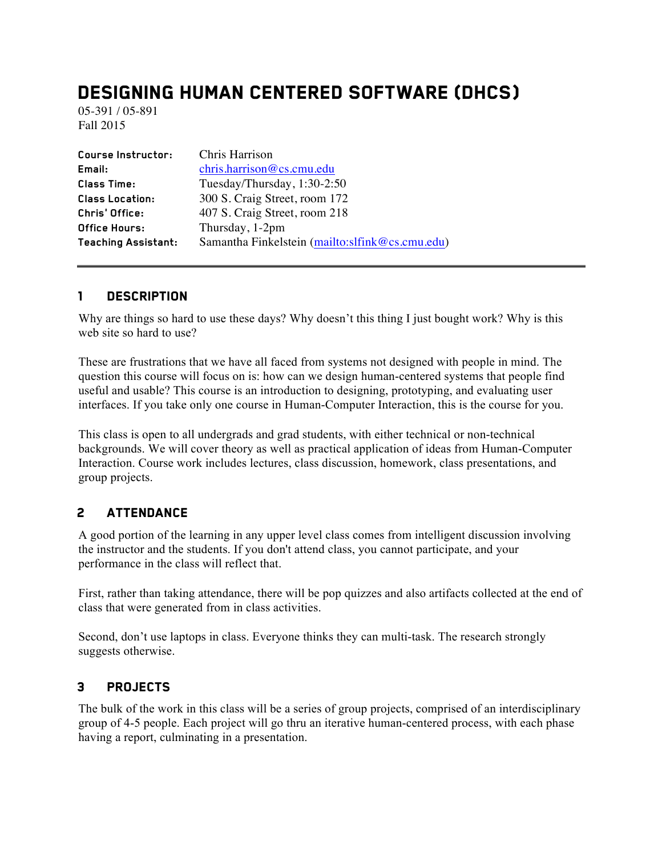# Designing Human Centered Software (DHCS)

05-391 / 05-891 Fall 2015

| Course Instructor:         | Chris Harrison                                  |
|----------------------------|-------------------------------------------------|
| Email:                     | chris.harrison@cs.cmu.edu                       |
| <b>Class Time:</b>         | Tuesday/Thursday, 1:30-2:50                     |
| <b>Class Location:</b>     | 300 S. Craig Street, room 172                   |
| Chris' Office:             | 407 S. Craig Street, room 218                   |
| Office Hours:              | Thursday, 1-2pm                                 |
| <b>Teaching Assistant:</b> | Samantha Finkelstein (mailto:slfink@cs.cmu.edu) |

#### 1 Description

Why are things so hard to use these days? Why doesn't this thing I just bought work? Why is this web site so hard to use?

These are frustrations that we have all faced from systems not designed with people in mind. The question this course will focus on is: how can we design human-centered systems that people find useful and usable? This course is an introduction to designing, prototyping, and evaluating user interfaces. If you take only one course in Human-Computer Interaction, this is the course for you.

This class is open to all undergrads and grad students, with either technical or non-technical backgrounds. We will cover theory as well as practical application of ideas from Human-Computer Interaction. Course work includes lectures, class discussion, homework, class presentations, and group projects.

## 2 Attendance

A good portion of the learning in any upper level class comes from intelligent discussion involving the instructor and the students. If you don't attend class, you cannot participate, and your performance in the class will reflect that.

First, rather than taking attendance, there will be pop quizzes and also artifacts collected at the end of class that were generated from in class activities.

Second, don't use laptops in class. Everyone thinks they can multi-task. The research strongly suggests otherwise.

#### 3 Projects

The bulk of the work in this class will be a series of group projects, comprised of an interdisciplinary group of 4-5 people. Each project will go thru an iterative human-centered process, with each phase having a report, culminating in a presentation.